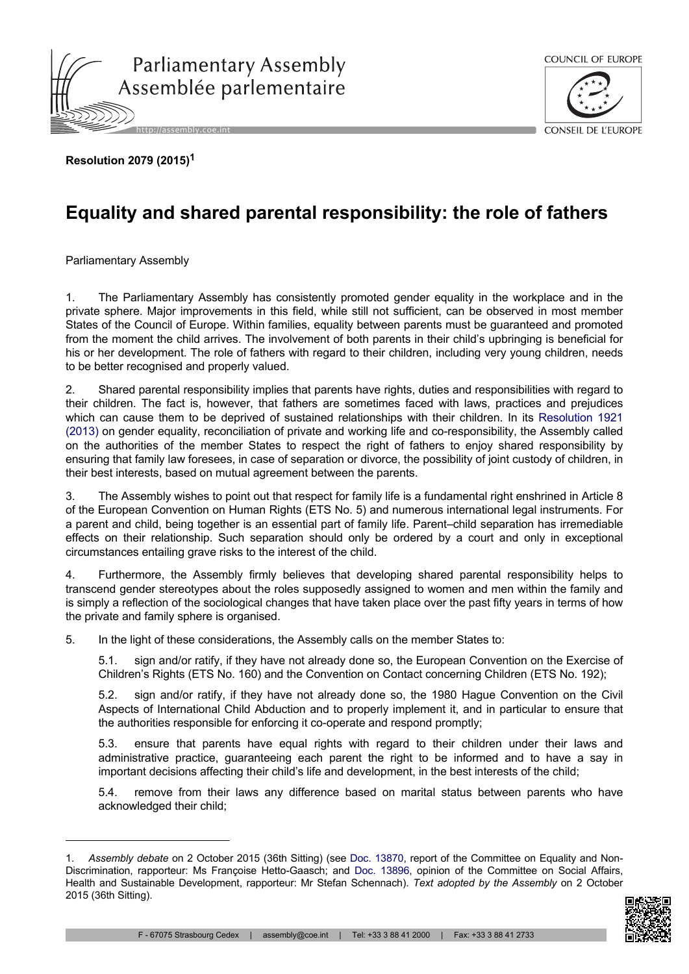



**Resolution 2079 (2015)<sup>1</sup>**

## **Equality and shared parental responsibility: the role of fathers**

Parliamentary Assembly

1. The Parliamentary Assembly has consistently promoted gender equality in the workplace and in the private sphere. Major improvements in this field, while still not sufficient, can be observed in most member States of the Council of Europe. Within families, equality between parents must be guaranteed and promoted from the moment the child arrives. The involvement of both parents in their child's upbringing is beneficial for his or her development. The role of fathers with regard to their children, including very young children, needs to be better recognised and properly valued.

2. Shared parental responsibility implies that parents have rights, duties and responsibilities with regard to their children. The fact is, however, that fathers are sometimes faced with laws, practices and prejudices which can cause them to be deprived of sustained relationships with their children. In its [Resolution](http://assembly.coe.int/nw/xml/XRef/Xref-DocDetails-en.asp?FileId=19478) 1921 [\(2013\)](http://assembly.coe.int/nw/xml/XRef/Xref-DocDetails-en.asp?FileId=19478) on gender equality, reconciliation of private and working life and co-responsibility, the Assembly called on the authorities of the member States to respect the right of fathers to enjoy shared responsibility by ensuring that family law foresees, in case of separation or divorce, the possibility of joint custody of children, in their best interests, based on mutual agreement between the parents.

3. The Assembly wishes to point out that respect for family life is a fundamental right enshrined in Article 8 of the European Convention on Human Rights (ETS No. 5) and numerous international legal instruments. For a parent and child, being together is an essential part of family life. Parent–child separation has irremediable effects on their relationship. Such separation should only be ordered by a court and only in exceptional circumstances entailing grave risks to the interest of the child.

4. Furthermore, the Assembly firmly believes that developing shared parental responsibility helps to transcend gender stereotypes about the roles supposedly assigned to women and men within the family and is simply a reflection of the sociological changes that have taken place over the past fifty years in terms of how the private and family sphere is organised.

5. In the light of these considerations, the Assembly calls on the member States to:

5.1. sign and/or ratify, if they have not already done so, the European Convention on the Exercise of Children's Rights (ETS No. 160) and the Convention on Contact concerning Children (ETS No. 192);

5.2. sign and/or ratify, if they have not already done so, the 1980 Hague Convention on the Civil Aspects of International Child Abduction and to properly implement it, and in particular to ensure that the authorities responsible for enforcing it co-operate and respond promptly;

5.3. ensure that parents have equal rights with regard to their children under their laws and administrative practice, guaranteeing each parent the right to be informed and to have a say in important decisions affecting their child's life and development, in the best interests of the child;

5.4. remove from their laws any difference based on marital status between parents who have acknowledged their child;

<sup>1.</sup> *Assembly debate* on 2 October 2015 (36th Sitting) (see Doc. [13870,](http://assembly.coe.int/nw/xml/XRef/Xref-DocDetails-en.asp?FileId=22022) report of the Committee on Equality and Non-Discrimination, rapporteur: Ms Françoise Hetto-Gaasch; and Doc. [13896,](http://assembly.coe.int/nw/xml/XRef/Xref-DocDetails-en.asp?FileId=22168) opinion of the Committee on Social Affairs, Health and Sustainable Development, rapporteur: Mr Stefan Schennach). *Text adopted by the Assembly* on 2 October 2015 (36th Sitting).